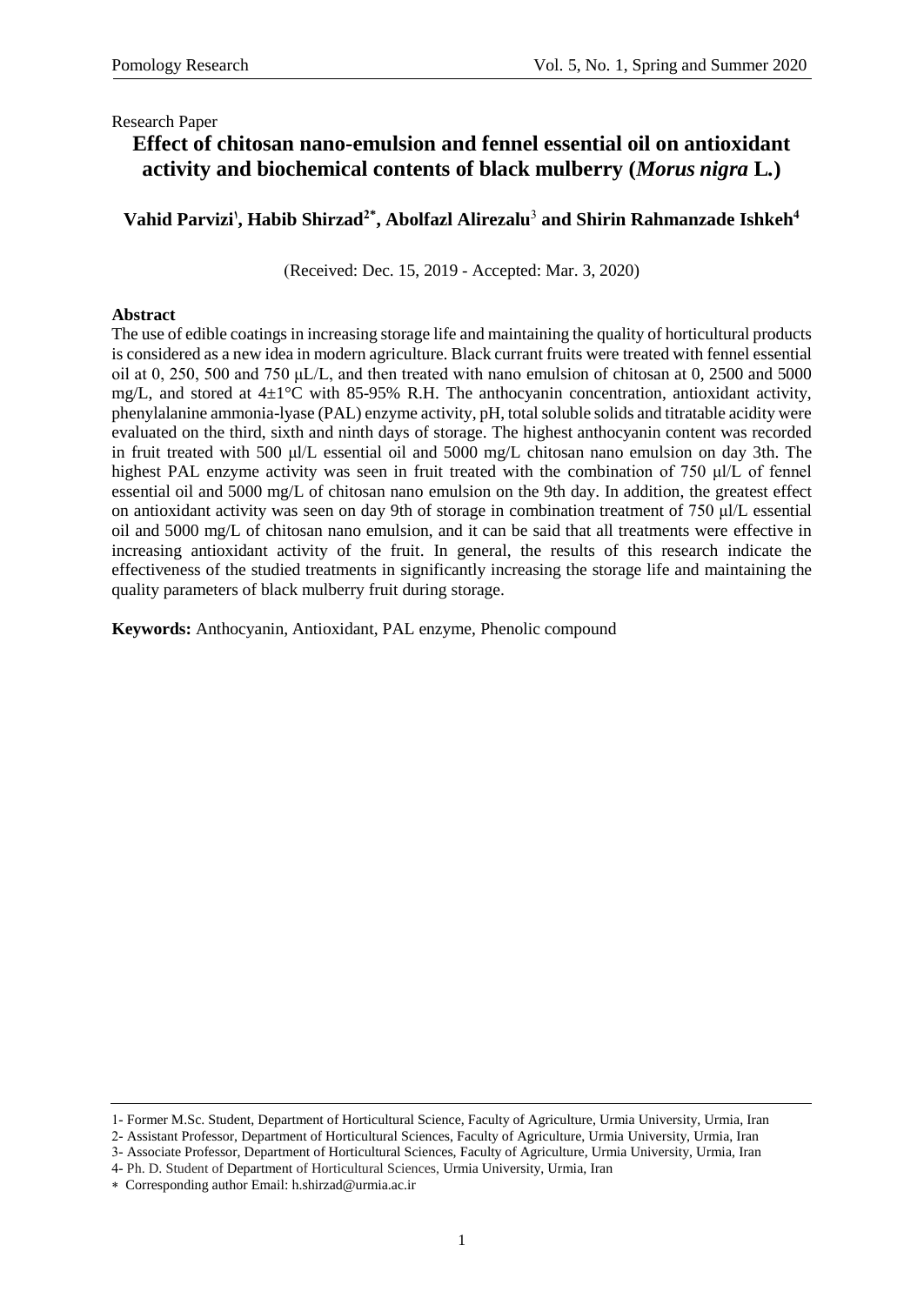# **Effect of chitosan nano-emulsion and fennel essential oil on antioxidant activity and biochemical contents of black mulberry (***Morus nigra* **L***.***)**

### **Vahid Parvizi<sup>1</sup> , Habib Shirzad2\* , Abolfazl Alirezalu**<sup>3</sup> **and Shirin Rahmanzade Ishkeh<sup>4</sup>**

(Received: Dec. 15, 2019 - Accepted: Mar. 3, 2020)

### **Abstract**

The use of edible coatings in increasing storage life and maintaining the quality of horticultural products is considered as a new idea in modern agriculture. Black currant fruits were treated with fennel essential oil at 0, 250, 500 and 750 μL/L, and then treated with nano emulsion of chitosan at 0, 2500 and 5000 mg/L, and stored at  $4\pm1$ °C with 85-95% R.H. The anthocyanin concentration, antioxidant activity, phenylalanine ammonia-lyase (PAL) enzyme activity, pH, total soluble solids and titratable acidity were evaluated on the third, sixth and ninth days of storage. The highest anthocyanin content was recorded in fruit treated with 500 μl/L essential oil and 5000 mg/L chitosan nano emulsion on day 3th. The highest PAL enzyme activity was seen in fruit treated with the combination of 750 μl/L of fennel essential oil and 5000 mg/L of chitosan nano emulsion on the 9th day. In addition, the greatest effect on antioxidant activity was seen on day 9th of storage in combination treatment of 750 μl/L essential oil and 5000 mg/L of chitosan nano emulsion, and it can be said that all treatments were effective in increasing antioxidant activity of the fruit. In general, the results of this research indicate the effectiveness of the studied treatments in significantly increasing the storage life and maintaining the quality parameters of black mulberry fruit during storage.

**Keywords:** Anthocyanin, Antioxidant, PAL enzyme, Phenolic compound

-

<sup>1-</sup> Former M.Sc. Student, Department of Horticultural Science, Faculty of Agriculture, Urmia University, Urmia, Iran

<sup>2-</sup> Assistant Professor, Department of Horticultural Sciences, Faculty of Agriculture, Urmia University, Urmia, Iran

<sup>3-</sup> Associate Professor, Department of Horticultural Sciences, Faculty of Agriculture, Urmia University, Urmia, Iran

<sup>4-</sup> Ph. D. Student of Department of Horticultural Sciences, Urmia University, Urmia, Iran

Corresponding author Email: h.shirzad@urmia.ac.ir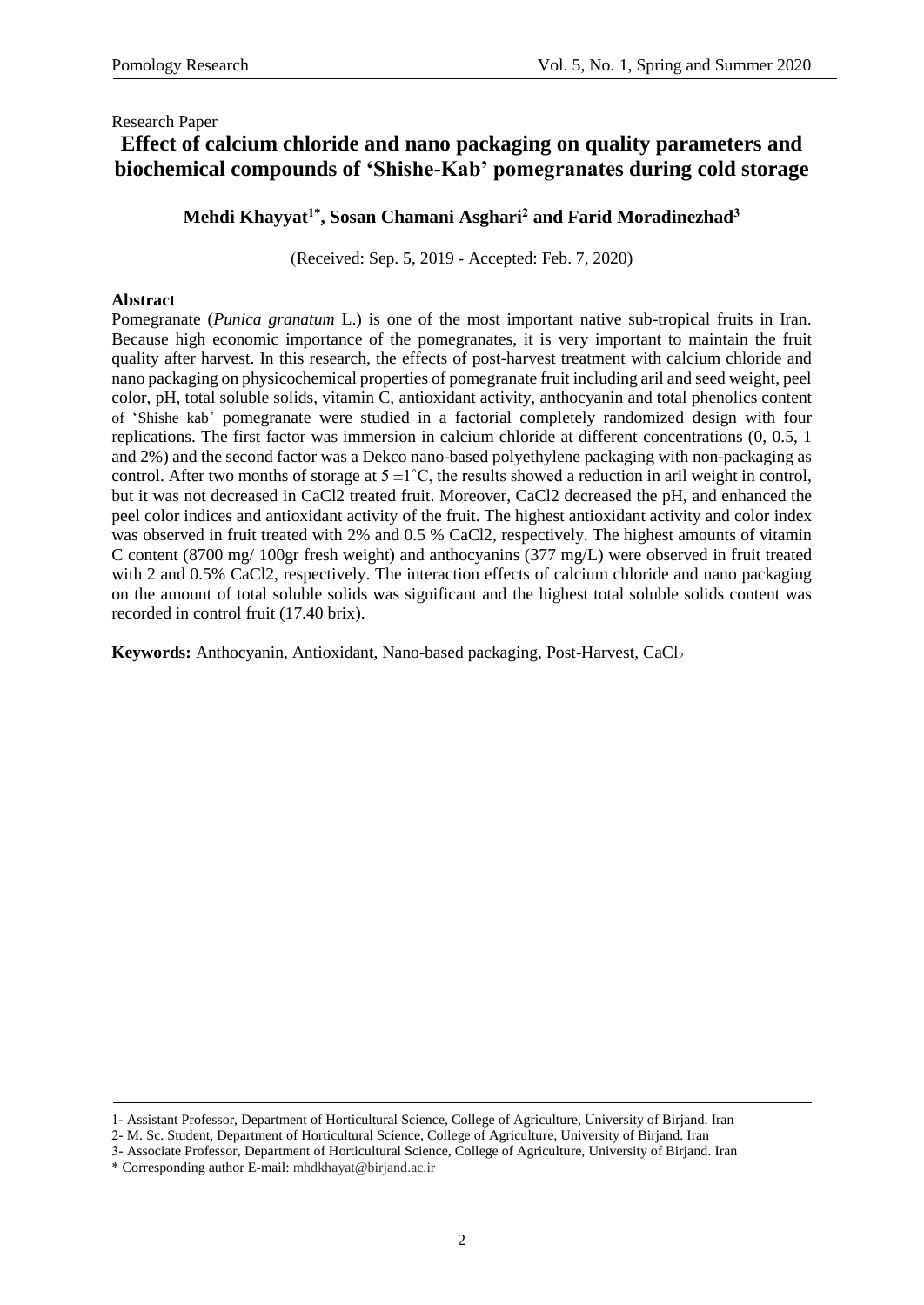# **Effect of calcium chloride and nano packaging on quality parameters and biochemical compounds of 'Shishe-Kab' pomegranates during cold storage**

**Mehdi Khayyat1\* , Sosan Chamani Asghari<sup>2</sup> and Farid Moradinezhad<sup>3</sup>**

(Received: Sep. 5, 2019 - Accepted: Feb. 7, 2020)

### **Abstract**

Pomegranate (*Punica granatum* L.) is one of the most important native sub-tropical fruits in Iran. Because high economic importance of the pomegranates, it is very important to maintain the fruit quality after harvest. In this research, the effects of post-harvest treatment with calcium chloride and nano packaging on physicochemical properties of pomegranate fruit including aril and seed weight, peel color, pH, total soluble solids, vitamin C, antioxidant activity, anthocyanin and total phenolics content of 'Shishe kab' pomegranate were studied in a factorial completely randomized design with four replications. The first factor was immersion in calcium chloride at different concentrations (0, 0.5, 1 and 2%) and the second factor was a Dekco nano-based polyethylene packaging with non-packaging as control. After two months of storage at  $5 \pm 1^{\circ}$ C, the results showed a reduction in aril weight in control, but it was not decreased in CaCl2 treated fruit. Moreover, CaCl2 decreased the pH, and enhanced the peel color indices and antioxidant activity of the fruit. The highest antioxidant activity and color index was observed in fruit treated with 2% and 0.5 % CaCl2, respectively. The highest amounts of vitamin C content (8700 mg/ 100gr fresh weight) and anthocyanins (377 mg/L) were observed in fruit treated with 2 and 0.5% CaCl2, respectively. The interaction effects of calcium chloride and nano packaging on the amount of total soluble solids was significant and the highest total soluble solids content was recorded in control fruit (17.40 brix).

**Keywords:** Anthocyanin, Antioxidant, Nano-based packaging, Post-Harvest, CaCl<sub>2</sub>

-

<sup>1-</sup> Assistant Professor, Department of Horticultural Science, College of Agriculture, University of Birjand. Iran

<sup>2-</sup> M. Sc. Student, Department of Horticultural Science, College of Agriculture, University of Birjand. Iran

<sup>3-</sup> Associate Professor, Department of Horticultural Science, College of Agriculture, University of Birjand. Iran

<sup>\*</sup> Corresponding author E-mail: [mhdkhayat@birjand.ac.ir](mailto:E-mail%3Amhdkhayat@birjand.ac.ir)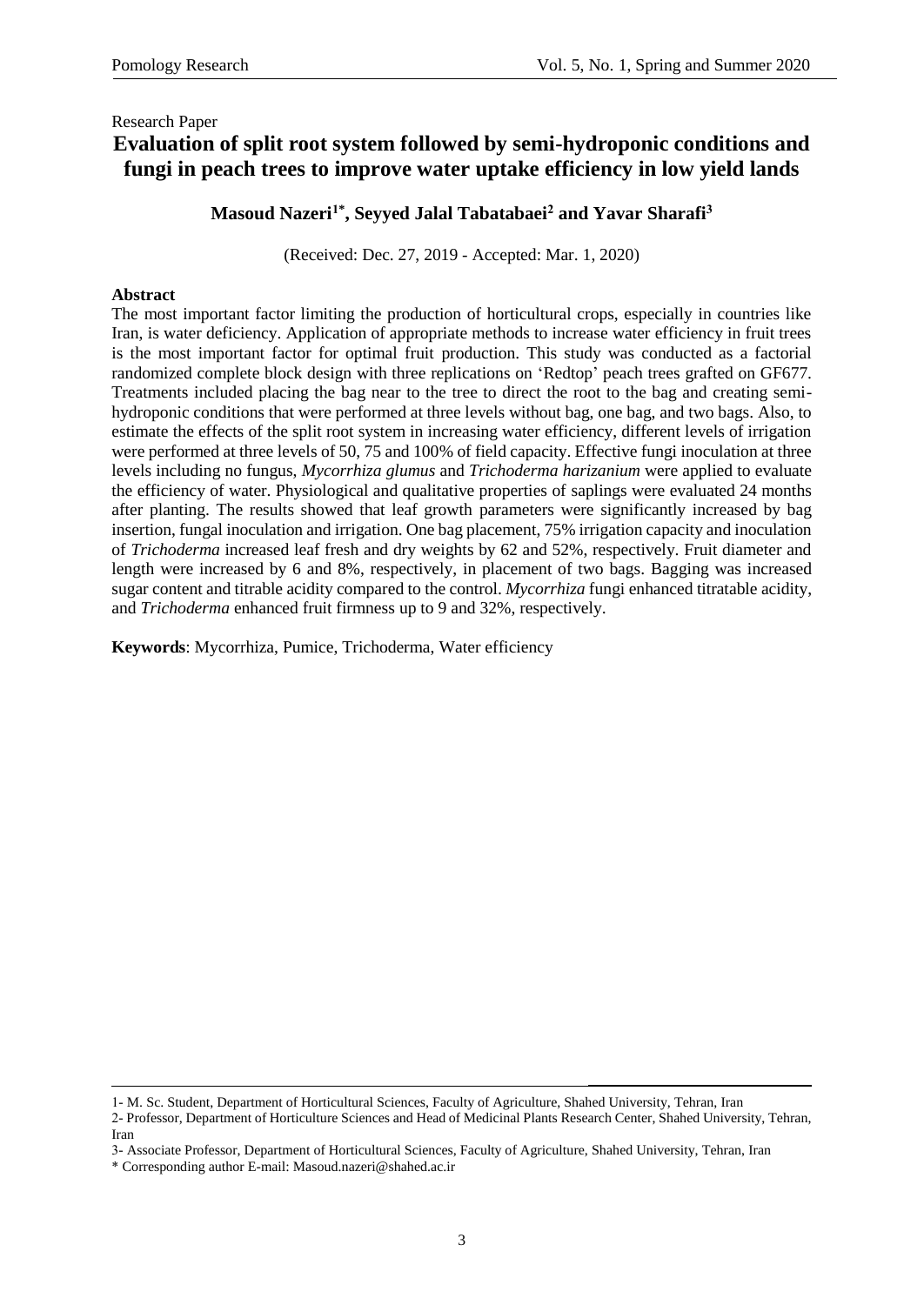## Research Paper **Evaluation of split root system followed by semi-hydroponic conditions and fungi in peach trees to improve water uptake efficiency in low yield lands**

**Masoud Nazeri1\* , Seyyed Jalal Tabatabaei<sup>2</sup> and Yavar Sharafi<sup>3</sup>**

(Received: Dec. 27, 2019 - Accepted: Mar. 1, 2020)

### **Abstract**

The most important factor limiting the production of horticultural crops, especially in countries like Iran, is water deficiency. Application of appropriate methods to increase water efficiency in fruit trees is the most important factor for optimal fruit production. This study was conducted as a factorial randomized complete block design with three replications on 'Redtop' peach trees grafted on GF677. Treatments included placing the bag near to the tree to direct the root to the bag and creating semihydroponic conditions that were performed at three levels without bag, one bag, and two bags. Also, to estimate the effects of the split root system in increasing water efficiency, different levels of irrigation were performed at three levels of 50, 75 and 100% of field capacity. Effective fungi inoculation at three levels including no fungus, *Mycorrhiza glumus* and *Trichoderma harizanium* were applied to evaluate the efficiency of water. Physiological and qualitative properties of saplings were evaluated 24 months after planting. The results showed that leaf growth parameters were significantly increased by bag insertion, fungal inoculation and irrigation. One bag placement, 75% irrigation capacity and inoculation of *Trichoderma* increased leaf fresh and dry weights by 62 and 52%, respectively. Fruit diameter and length were increased by 6 and 8%, respectively, in placement of two bags. Bagging was increased sugar content and titrable acidity compared to the control. *Mycorrhiza* fungi enhanced titratable acidity, and *Trichoderma* enhanced fruit firmness up to 9 and 32%, respectively.

**Keywords**: Mycorrhiza, Pumice, Trichoderma, Water efficiency

1- M. Sc. Student, Department of Horticultural Sciences, Faculty of Agriculture, Shahed University, Tehran, Iran

2- Professor, Department of Horticulture Sciences and Head of Medicinal Plants Research Center, Shahed University, Tehran, Iran

**.** 

3- Associate Professor, Department of Horticultural Sciences, Faculty of Agriculture, Shahed University, Tehran, Iran

\* Corresponding author E-mail: [Masoud.nazeri@shahed.ac.ir](mailto:Masoud.nazeri@shahed.ac.ir)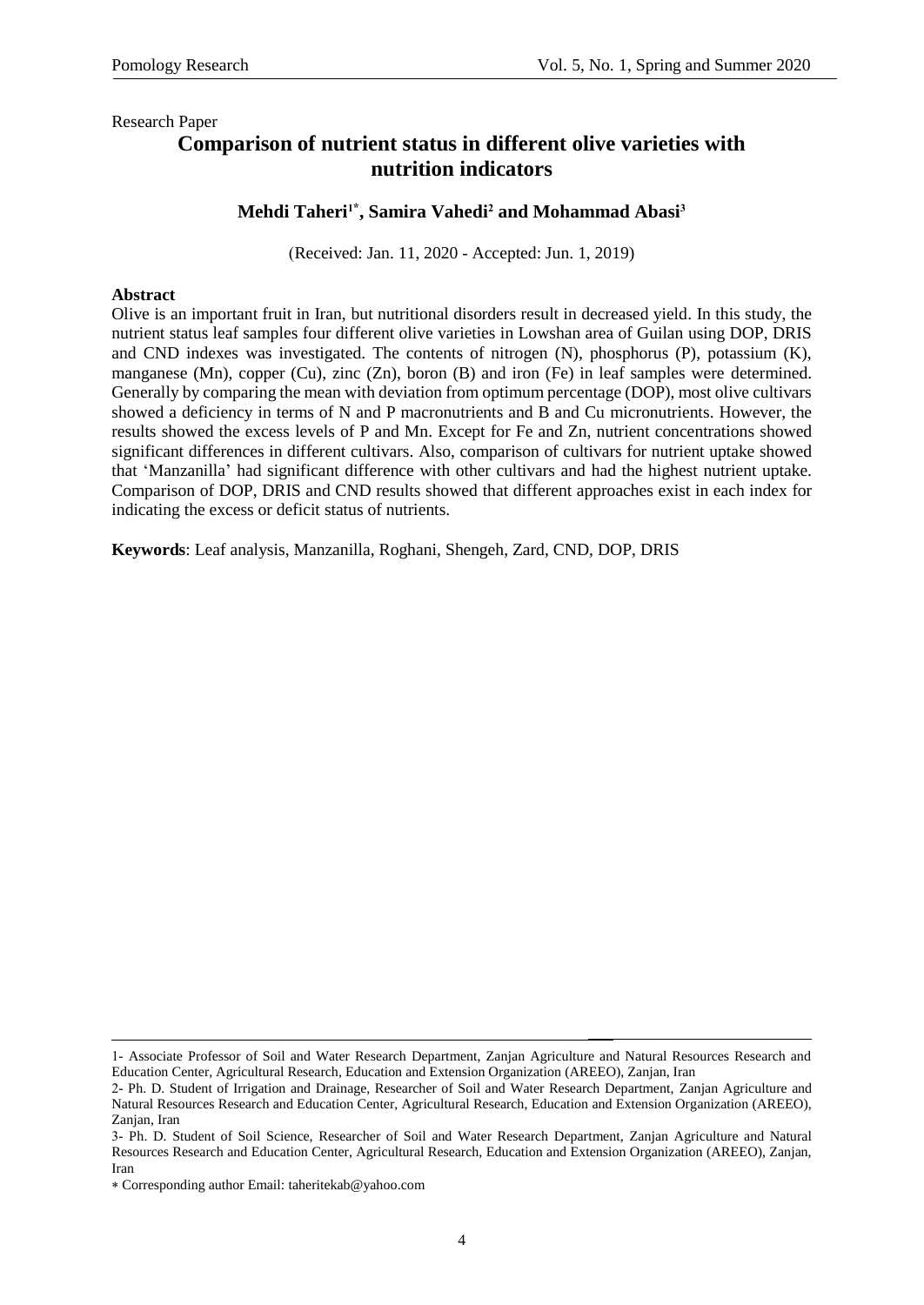## **Comparison of nutrient status in different olive varieties with nutrition indicators**

### **Mehdi Taheri1\* , Samira Vahedi<sup>2</sup> and Mohammad Abasi<sup>3</sup>**

)Received: Jan. 11, 2020 - Accepted: Jun. 1, 2019)

#### **Abstract**

Olive is an important fruit in Iran, but nutritional disorders result in decreased yield. In this study, the nutrient status leaf samples four different olive varieties in Lowshan area of Guilan using DOP, DRIS and CND indexes was investigated. The contents of nitrogen (N), phosphorus (P), potassium (K), manganese (Mn), copper (Cu), zinc (Zn), boron (B) and iron (Fe) in leaf samples were determined. Generally by comparing the mean with deviation from optimum percentage (DOP), most olive cultivars showed a deficiency in terms of N and P macronutrients and B and Cu micronutrients. However, the results showed the excess levels of P and Mn. Except for Fe and Zn, nutrient concentrations showed significant differences in different cultivars. Also, comparison of cultivars for nutrient uptake showed that 'Manzanilla' had significant difference with other cultivars and had the highest nutrient uptake. Comparison of DOP, DRIS and CND results showed that different approaches exist in each index for indicating the excess or deficit status of nutrients.

**Keywords**: Leaf analysis, Manzanilla, Roghani, Shengeh, Zard, CND, DOP, DRIS

<sup>1-</sup> Associate Professor of Soil and Water Research Department, Zanjan Agriculture and Natural Resources Research and Education Center, Agricultural Research, Education and Extension Organization (AREEO), Zanjan, Iran

<sup>2-</sup> Ph. D. Student of Irrigation and Drainage, Researcher of Soil and Water Research Department, Zanjan Agriculture and Natural Resources Research and Education Center, Agricultural Research, Education and Extension Organization (AREEO), Zanjan, Iran

<sup>3-</sup> Ph. D. Student of Soil Science, Researcher of Soil and Water Research Department, Zanjan Agriculture and Natural Resources Research and Education Center, Agricultural Research, Education and Extension Organization (AREEO), Zanjan, Iran

Corresponding author Email: taheritekab@yahoo.com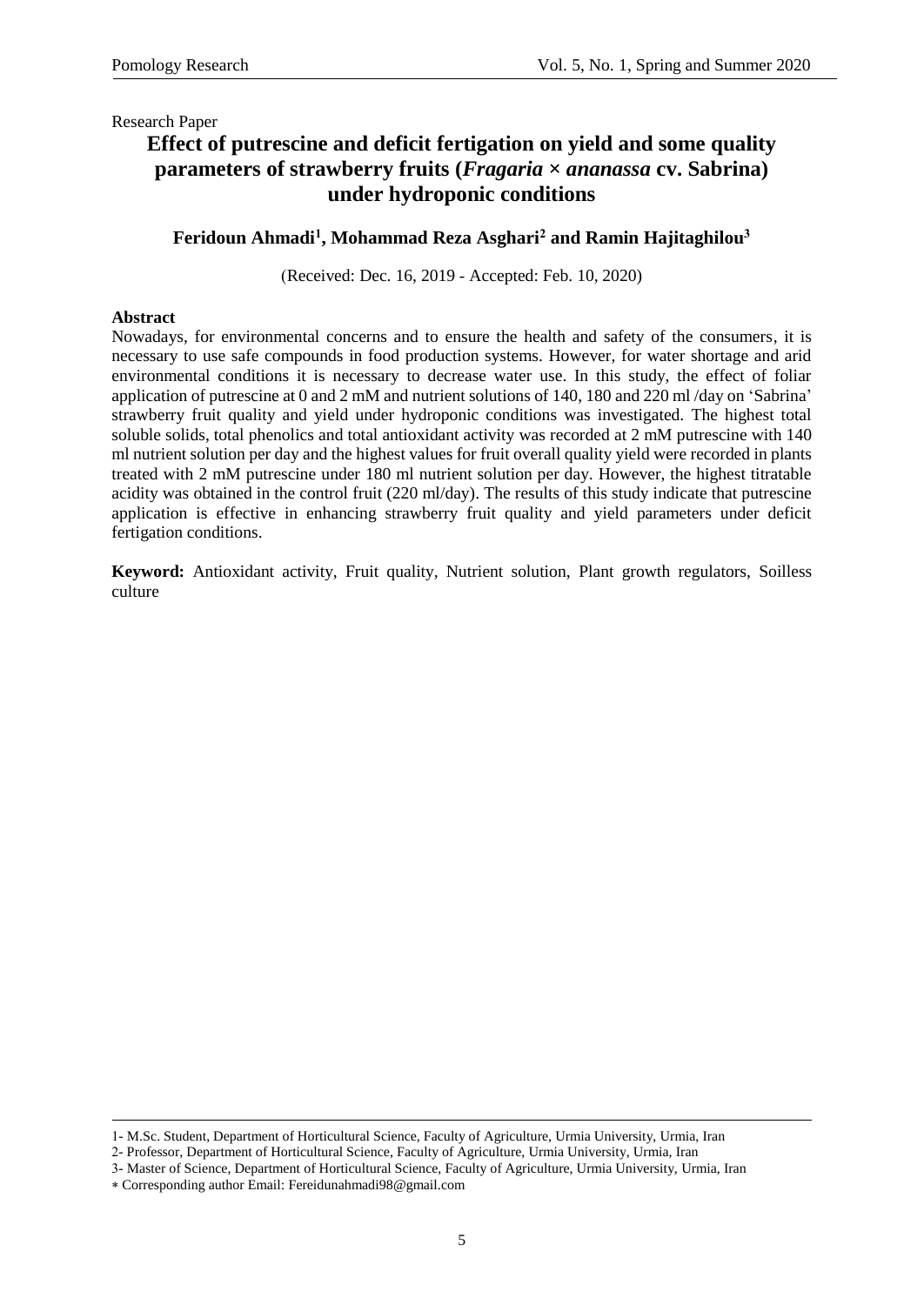## **Effect of putrescine and deficit fertigation on yield and some quality parameters of strawberry fruits (***Fragaria × ananassa* **cv. Sabrina) under hydroponic conditions**

### **Feridoun Ahmadi<sup>1</sup> , Mohammad Reza Asghari<sup>2</sup> and Ramin Hajitaghilou<sup>3</sup>**

)Received: Dec. 16, 2019 - Accepted: Feb. 10, 2020)

#### **Abstract**

Nowadays, for environmental concerns and to ensure the health and safety of the consumers, it is necessary to use safe compounds in food production systems. However, for water shortage and arid environmental conditions it is necessary to decrease water use. In this study, the effect of foliar application of putrescine at 0 and 2 mM and nutrient solutions of 140, 180 and 220 ml /day on 'Sabrina' strawberry fruit quality and yield under hydroponic conditions was investigated. The highest total soluble solids, total phenolics and total antioxidant activity was recorded at 2 mM putrescine with 140 ml nutrient solution per day and the highest values for fruit overall quality yield were recorded in plants treated with 2 mM putrescine under 180 ml nutrient solution per day. However, the highest titratable acidity was obtained in the control fruit (220 ml/day). The results of this study indicate that putrescine application is effective in enhancing strawberry fruit quality and yield parameters under deficit fertigation conditions.

**Keyword:** Antioxidant activity, Fruit quality, Nutrient solution, Plant growth regulators, Soilless culture

2- Professor, Department of Horticultural Science, Faculty of Agriculture, Urmia University, Urmia, Iran

<sup>1-</sup> M.Sc. Student, Department of Horticultural Science, Faculty of Agriculture, Urmia University, Urmia, Iran

<sup>3-</sup> Master of Science, Department of Horticultural Science, Faculty of Agriculture, Urmia University, Urmia, Iran

Corresponding author Email: Fereidunahmadi98@gmail.com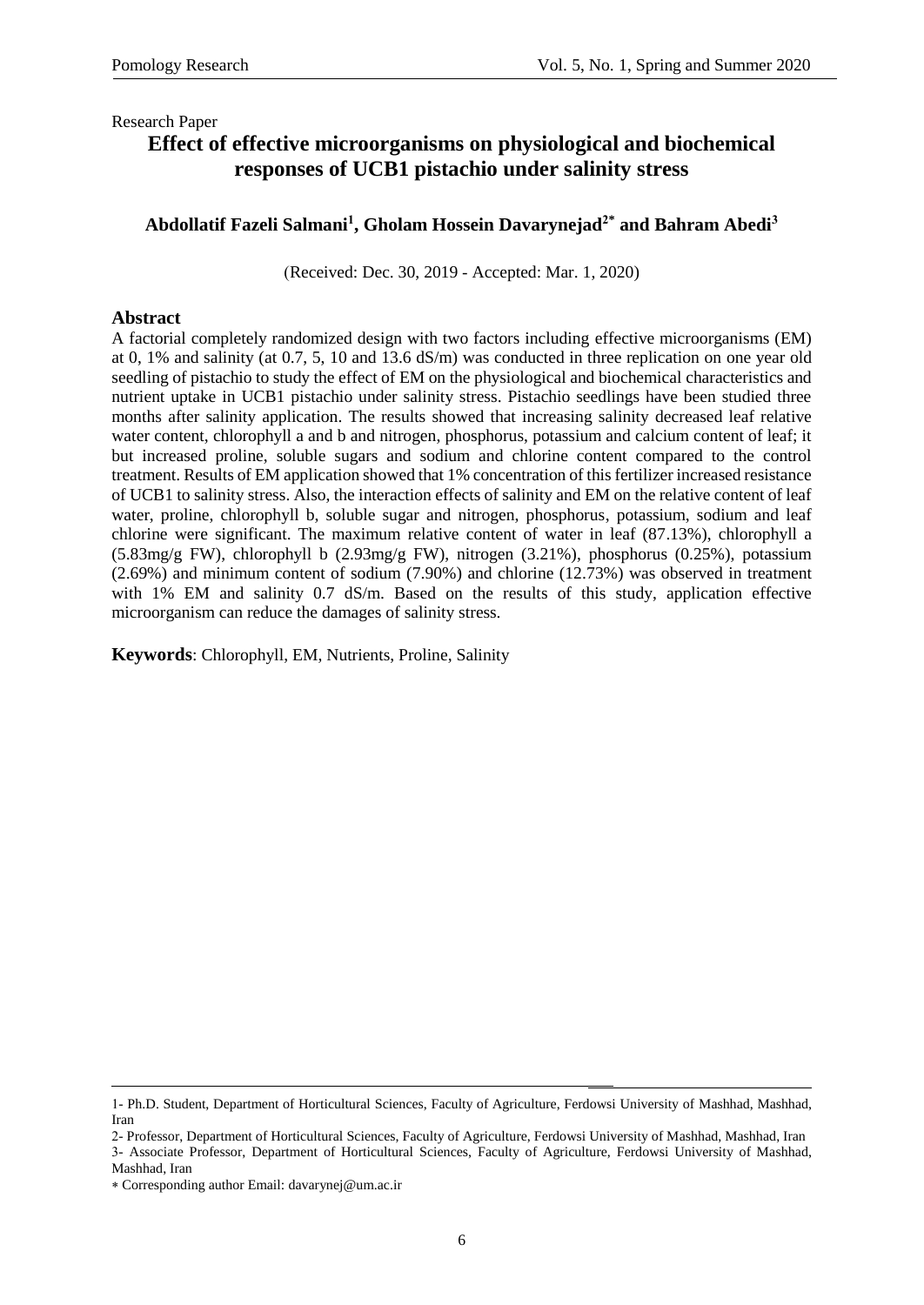# **Effect of effective microorganisms on physiological and biochemical responses of UCB1 pistachio under salinity stress**

### **[Abdollatif Fazeli Salmani](http://rip.urmia.ac.ir/?_action=article&au=118155&_au=Abdol-latif++Fazely-salmani)<sup>1</sup> , [Gholam Hossein Davarynejad](http://rip.urmia.ac.ir/?_action=article&au=116573&_au=Gholam+Hossein++Davarynejad)2\* and [Bahram Abedi](http://rip.urmia.ac.ir/?_action=article&au=114872&_au=Bahram++Abedi)<sup>3</sup>**

(Received: Dec. 30, 2019 - Accepted: Mar. 1, 2020)

### **Abstract**

A factorial completely randomized design with two factors including effective microorganisms (EM) at 0, 1% and salinity (at 0.7, 5, 10 and 13.6 dS/m) was conducted in three replication on one year old seedling of pistachio to study the effect of EM on the physiological and biochemical characteristics and nutrient uptake in UCB1 pistachio under salinity stress. Pistachio seedlings have been studied three months after salinity application. The results showed that increasing salinity decreased leaf relative water content, chlorophyll a and b and nitrogen, phosphorus, potassium and calcium content of leaf; it but increased proline, soluble sugars and sodium and chlorine content compared to the control treatment. Results of EM application showed that 1% concentration of this fertilizer increased resistance of UCB1 to salinity stress. Also, the interaction effects of salinity and EM on the relative content of leaf water, proline, chlorophyll b, soluble sugar and nitrogen, phosphorus, potassium, sodium and leaf chlorine were significant. The maximum relative content of water in leaf (87.13%), chlorophyll a (5.83mg/g FW), chlorophyll b (2.93mg/g FW), nitrogen (3.21%), phosphorus (0.25%), potassium (2.69%) and minimum content of sodium (7.90%) and chlorine (12.73%) was observed in treatment with 1% EM and salinity 0.7 dS/m. Based on the results of this study, application effective microorganism can reduce the damages of salinity stress.

**Keywords**: Chlorophyll, EM, Nutrients, Proline, Salinity

<sup>1</sup> 1- Ph.D. Student, Department of Horticultural Sciences, Faculty of Agriculture, Ferdowsi University of Mashhad, Mashhad, Iran

<sup>2-</sup> Professor, Department of Horticultural Sciences, Faculty of Agriculture, Ferdowsi University of Mashhad, Mashhad, Iran 3- Associate Professor, Department of Horticultural Sciences, Faculty of Agriculture, Ferdowsi University of Mashhad, Mashhad, Iran

Corresponding author Email: davarynej@um.ac.ir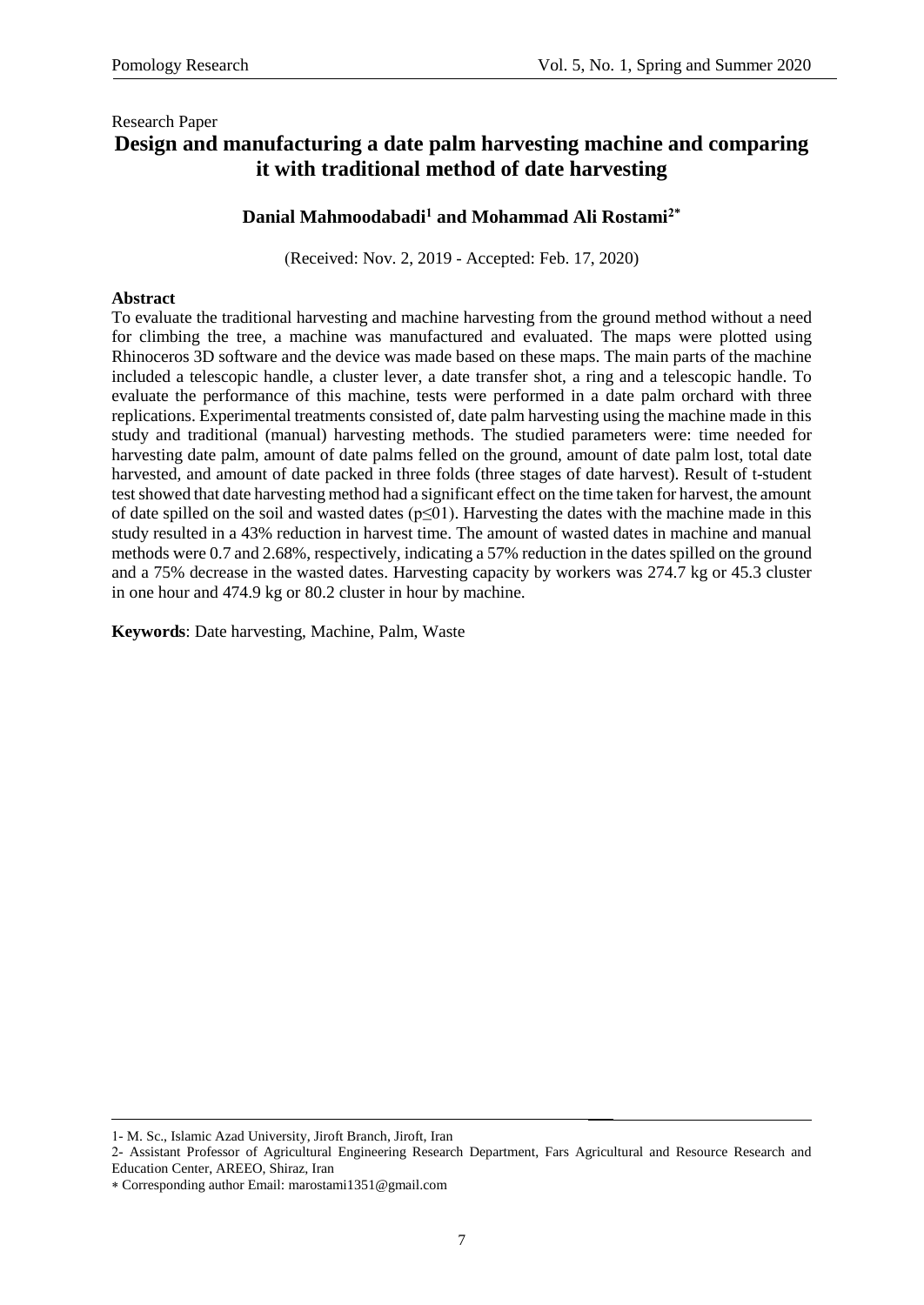## Research Paper **Design and manufacturing a date palm harvesting machine and comparing it with traditional method of date harvesting**

### **Danial Mahmoodabadi<sup>1</sup> and Mohammad Ali Rostami2\***

(Received: Nov. 2, 2019 - Accepted: Feb. 17, 2020)

### **Abstract**

To evaluate the traditional harvesting and machine harvesting from the ground method without a need for climbing the tree, a machine was manufactured and evaluated. The maps were plotted using Rhinoceros 3D software and the device was made based on these maps. The main parts of the machine included a telescopic handle, a cluster lever, a date transfer shot, a ring and a telescopic handle. To evaluate the performance of this machine, tests were performed in a date palm orchard with three replications. Experimental treatments consisted of, date palm harvesting using the machine made in this study and traditional (manual) harvesting methods. The studied parameters were: time needed for harvesting date palm, amount of date palms felled on the ground, amount of date palm lost, total date harvested, and amount of date packed in three folds (three stages of date harvest). Result of t-student test showed that date harvesting method had a significant effect on the time taken for harvest, the amount of date spilled on the soil and wasted dates ( $p \le 01$ ). Harvesting the dates with the machine made in this study resulted in a 43% reduction in harvest time. The amount of wasted dates in machine and manual methods were 0.7 and 2.68%, respectively, indicating a 57% reduction in the dates spilled on the ground and a 75% decrease in the wasted dates. Harvesting capacity by workers was 274.7 kg or 45.3 cluster in one hour and 474.9 kg or 80.2 cluster in hour by machine.

**Keywords**: Date harvesting, Machine, Palm, Waste

<sup>1-</sup> M. Sc., Islamic Azad University, Jiroft Branch, Jiroft, Iran

<sup>2-</sup> Assistant Professor of Agricultural Engineering Research Department, Fars Agricultural and Resource Research and Education Center, AREEO, Shiraz, Iran

Corresponding author Email: marostami1351@gmail.com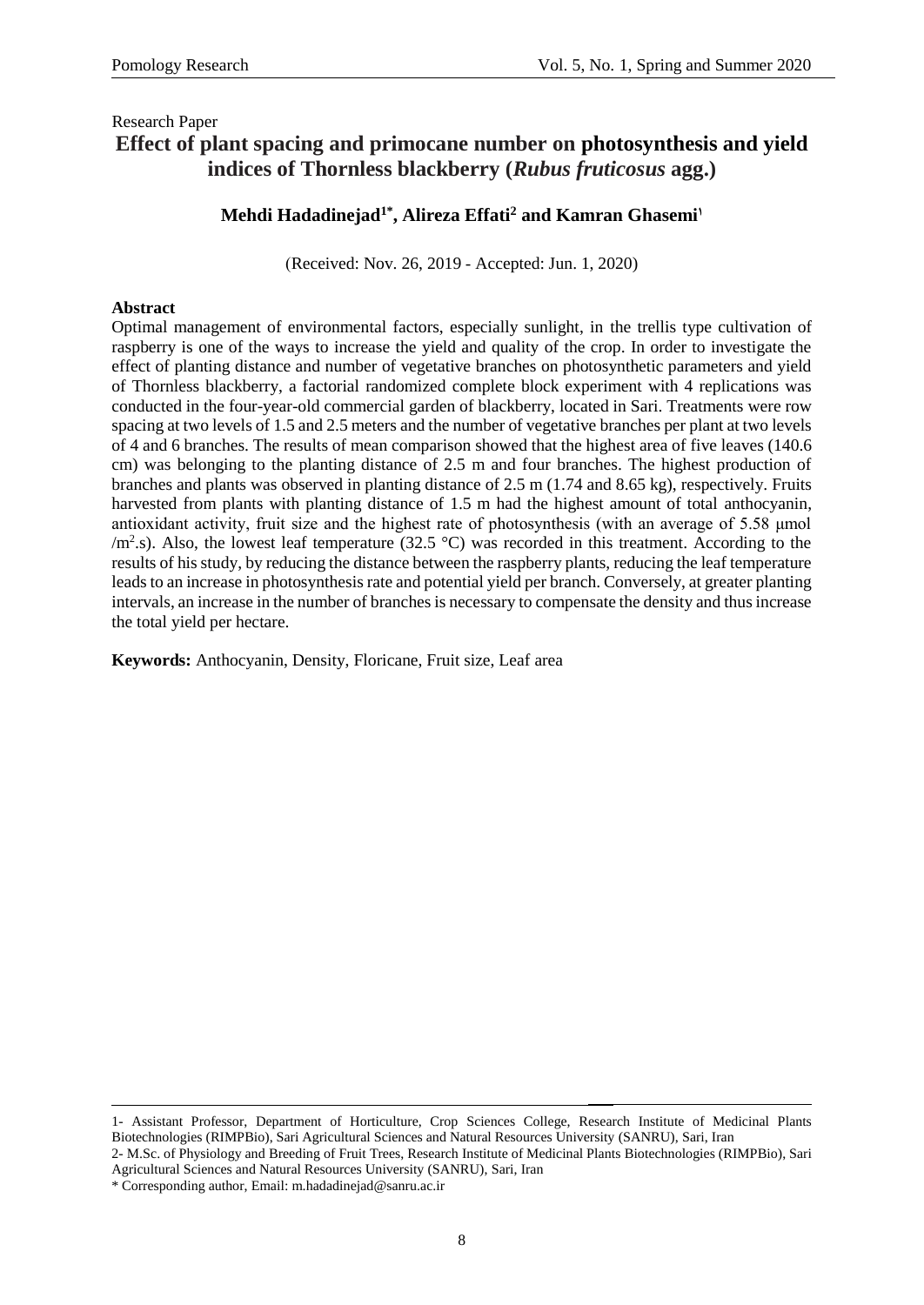## Research Paper **Effect of plant spacing and primocane number on photosynthesis and yield indices of Thornless blackberry (***Rubus fruticosus* **agg.)**

## **Mehdi Hadadinejad1\* , Alireza Effati<sup>2</sup> and Kamran Ghasemi<sup>1</sup>**

)Received: Nov. 26, 2019 - Accepted: Jun. 1, 2020)

### **Abstract**

Optimal management of environmental factors, especially sunlight, in the trellis type cultivation of raspberry is one of the ways to increase the yield and quality of the crop. In order to investigate the effect of planting distance and number of vegetative branches on photosynthetic parameters and yield of Thornless blackberry, a factorial randomized complete block experiment with 4 replications was conducted in the four-year-old commercial garden of blackberry, located in Sari. Treatments were row spacing at two levels of 1.5 and 2.5 meters and the number of vegetative branches per plant at two levels of 4 and 6 branches. The results of mean comparison showed that the highest area of five leaves (140.6 cm) was belonging to the planting distance of 2.5 m and four branches. The highest production of branches and plants was observed in planting distance of 2.5 m (1.74 and 8.65 kg), respectively. Fruits harvested from plants with planting distance of 1.5 m had the highest amount of total anthocyanin, antioxidant activity, fruit size and the highest rate of photosynthesis (with an average of 5.58 μmol  $/m<sup>2</sup>$ .s). Also, the lowest leaf temperature (32.5 °C) was recorded in this treatment. According to the results of his study, by reducing the distance between the raspberry plants, reducing the leaf temperature leads to an increase in photosynthesis rate and potential yield per branch. Conversely, at greater planting intervals, an increase in the number of branches is necessary to compensate the density and thus increase the total yield per hectare.

**Keywords:** Anthocyanin, Density, Floricane, Fruit size, Leaf area

**.** 1- Assistant Professor, Department of Horticulture, Crop Sciences College, Research Institute of Medicinal Plants Biotechnologies (RIMPBio), Sari Agricultural Sciences and Natural Resources University (SANRU), Sari, Iran

2- M.Sc. of Physiology and Breeding of Fruit Trees, Research Institute of Medicinal Plants Biotechnologies (RIMPBio), Sari Agricultural Sciences and Natural Resources University (SANRU), Sari, Iran

\* Corresponding author, Email: m.hadadinejad@sanru.ac.ir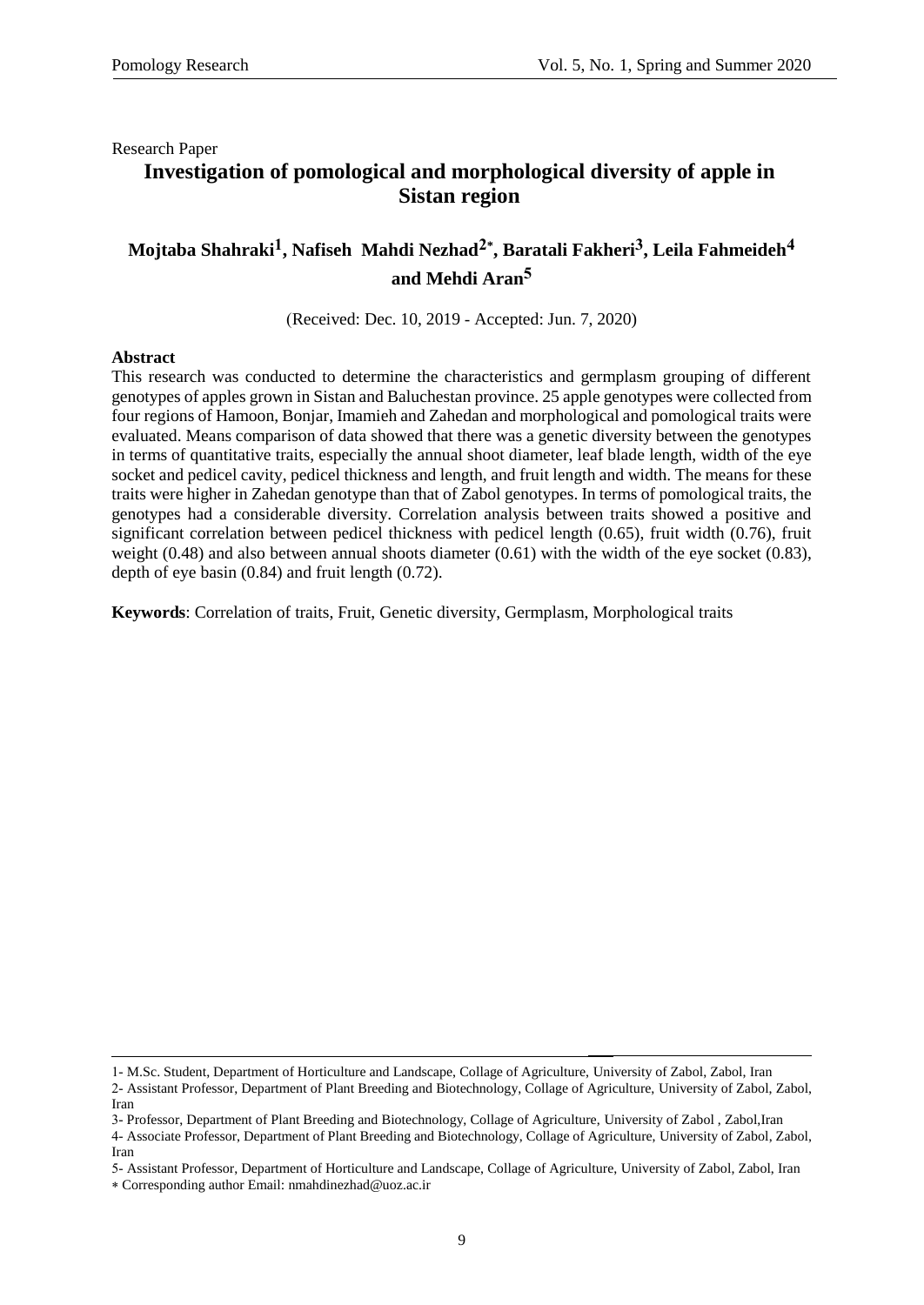# **Investigation of pomological and morphological diversity of apple in Sistan region**

# **Mojtaba Shahraki1, Nafiseh Mahdi Nezhad2\* , Baratali Fakheri3, Leila Fahmeideh4 and Mehdi Aran5**

(Received: Dec. 10, 2019 - Accepted: Jun. 7, 2020)

#### **Abstract**

This research was conducted to determine the characteristics and germplasm grouping of different genotypes of apples grown in Sistan and Baluchestan province. 25 apple genotypes were collected from four regions of Hamoon, Bonjar, Imamieh and Zahedan and morphological and pomological traits were evaluated. Means comparison of data showed that there was a genetic diversity between the genotypes in terms of quantitative traits, especially the annual shoot diameter, leaf blade length, width of the eye socket and pedicel cavity, pedicel thickness and length, and fruit length and width. The means for these traits were higher in Zahedan genotype than that of Zabol genotypes. In terms of pomological traits, the genotypes had a considerable diversity. Correlation analysis between traits showed a positive and significant correlation between pedicel thickness with pedicel length (0.65), fruit width (0.76), fruit weight  $(0.48)$  and also between annual shoots diameter  $(0.61)$  with the width of the eye socket  $(0.83)$ , depth of eye basin (0.84) and fruit length (0.72).

**Keywords**: Correlation of traits, Fruit, Genetic diversity, Germplasm, Morphological traits

<sup>1-</sup> M.Sc. Student, Department of Horticulture and Landscape, Collage of Agriculture, University of Zabol, Zabol, Iran 2- Assistant Professor, Department of Plant Breeding and Biotechnology, Collage of Agriculture, University of Zabol, Zabol, Iran

<sup>3-</sup> Professor, Department of Plant Breeding and Biotechnology, Collage of Agriculture, University of Zabol , Zabol,Iran

<sup>4-</sup> Associate Professor, Department of Plant Breeding and Biotechnology, Collage of Agriculture, University of Zabol, Zabol, Iran

<sup>5-</sup> Assistant Professor, Department of Horticulture and Landscape, Collage of Agriculture, University of Zabol, Zabol, Iran Corresponding author Email: nmahdinezhad@uoz.ac.ir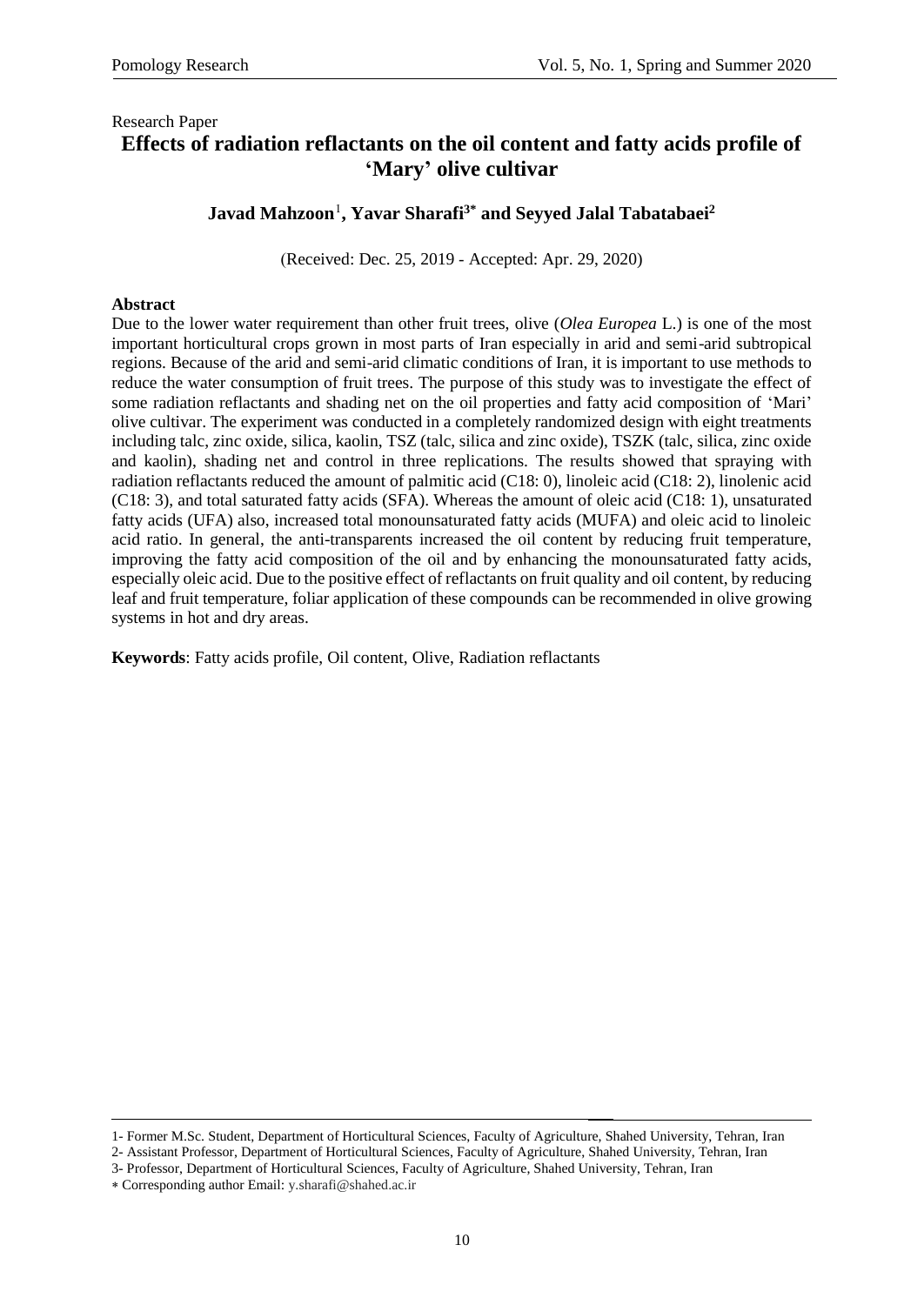### Research Paper **Effects of radiation reflactants on the oil content and fatty acids profile of 'Mary' olive cultivar**

## **Javad Mahzoon<sup>1</sup> , Yavar Sharafi3\* and Seyyed Jalal Tabatabaei<sup>2</sup>**

(Received: Dec. 25, 2019 - Accepted: Apr. 29, 2020)

#### **Abstract**

Due to the lower water requirement than other fruit trees, olive (*Olea Europea* L.) is one of the most important horticultural crops grown in most parts of Iran especially in arid and semi-arid subtropical regions. Because of the arid and semi-arid climatic conditions of Iran, it is important to use methods to reduce the water consumption of fruit trees. The purpose of this study was to investigate the effect of some radiation reflactants and shading net on the oil properties and fatty acid composition of 'Mari' olive cultivar. The experiment was conducted in a completely randomized design with eight treatments including talc, zinc oxide, silica, kaolin, TSZ (talc, silica and zinc oxide), TSZK (talc, silica, zinc oxide and kaolin), shading net and control in three replications. The results showed that spraying with radiation reflactants reduced the amount of palmitic acid (C18: 0), linoleic acid (C18: 2), linolenic acid (C18: 3), and total saturated fatty acids (SFA). Whereas the amount of oleic acid (C18: 1), unsaturated fatty acids (UFA) also, increased total monounsaturated fatty acids (MUFA) and oleic acid to linoleic acid ratio. In general, the anti-transparents increased the oil content by reducing fruit temperature, improving the fatty acid composition of the oil and by enhancing the monounsaturated fatty acids, especially oleic acid. Due to the positive effect of reflactants on fruit quality and oil content, by reducing leaf and fruit temperature, foliar application of these compounds can be recommended in olive growing systems in hot and dry areas.

**Keywords**: Fatty acids profile, Oil content, Olive, Radiation reflactants

-

<sup>1-</sup> Former M.Sc. Student, Department of Horticultural Sciences, Faculty of Agriculture, Shahed University, Tehran, Iran

<sup>2-</sup> Assistant Professor, Department of Horticultural Sciences, Faculty of Agriculture, Shahed University, Tehran, Iran

<sup>3-</sup> Professor, Department of Horticultural Sciences, Faculty of Agriculture, Shahed University, Tehran, Iran

Corresponding author Email: [y.sharafi@shahed.ac.ir](mailto:y.sharafi@shahed.ac.ir)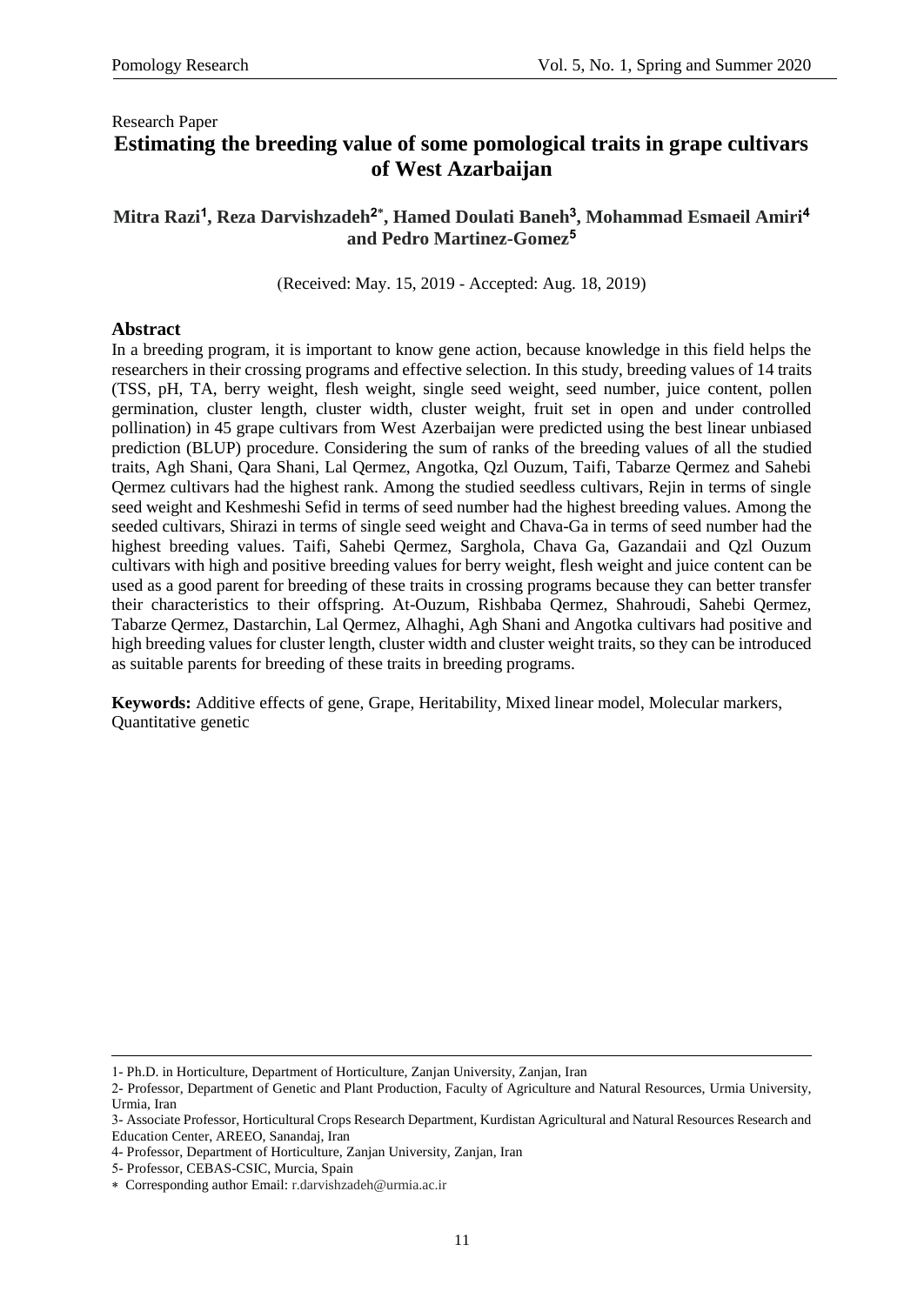### Research Paper **Estimating the breeding value of some pomological traits in grape cultivars of West Azarbaijan**

### **Mitra Razi<sup>1</sup> , Reza Darvishzadeh<sup>2</sup>\* , Hamed Doulati Baneh<sup>3</sup> , Mohammad Esmaeil Amiri<sup>4</sup> and Pedro Martinez-Gomez<sup>5</sup>**

(Received: May. 15, 2019 - Accepted: Aug. 18, 2019)

### **Abstract**

In a breeding program, it is important to know gene action, because knowledge in this field helps the researchers in their crossing programs and effective selection. In this study, breeding values of 14 traits (TSS, pH, TA, berry weight, flesh weight, single seed weight, seed number, juice content, pollen germination, cluster length, cluster width, cluster weight, fruit set in open and under controlled pollination) in 45 grape cultivars from West Azerbaijan were predicted using the best linear unbiased prediction (BLUP) procedure. Considering the sum of ranks of the breeding values of all the studied traits, Agh Shani, Qara Shani, Lal Qermez, Angotka, Qzl Ouzum, Taifi, Tabarze Qermez and Sahebi Qermez cultivars had the highest rank. Among the studied seedless cultivars, Rejin in terms of single seed weight and Keshmeshi Sefid in terms of seed number had the highest breeding values. Among the seeded cultivars, Shirazi in terms of single seed weight and Chava-Ga in terms of seed number had the highest breeding values. Taifi, Sahebi Qermez, Sarghola, Chava Ga, Gazandaii and Qzl Ouzum cultivars with high and positive breeding values for berry weight, flesh weight and juice content can be used as a good parent for breeding of these traits in crossing programs because they can better transfer their characteristics to their offspring. At-Ouzum, Rishbaba Qermez, Shahroudi, Sahebi Qermez, Tabarze Qermez, Dastarchin, Lal Qermez, Alhaghi, Agh Shani and Angotka cultivars had positive and high breeding values for cluster length, cluster width and cluster weight traits, so they can be introduced as suitable parents for breeding of these traits in breeding programs.

**Keywords:** Additive effects of gene, Grape, Heritability, Mixed linear model, Molecular markers, Quantitative genetic

**.** 

<sup>1-</sup> Ph.D. in Horticulture, Department of Horticulture, Zanjan University, Zanjan, Iran

<sup>2-</sup> Professor, Department of Genetic and Plant Production, Faculty of Agriculture and Natural Resources, Urmia University, Urmia, Iran

<sup>3-</sup> Associate Professor, Horticultural Crops Research Department, Kurdistan Agricultural and Natural Resources Research and Education Center, AREEO, Sanandaj, Iran

<sup>4-</sup> Professor, Department of Horticulture, Zanjan University, Zanjan, Iran

<sup>5-</sup> Professor, CEBAS-CSIC, Murcia, Spain

Corresponding author Email: [r.darvishzadeh@urmia.ac.ir](mailto:r.darvishzadeh@urmia.ac.ir)